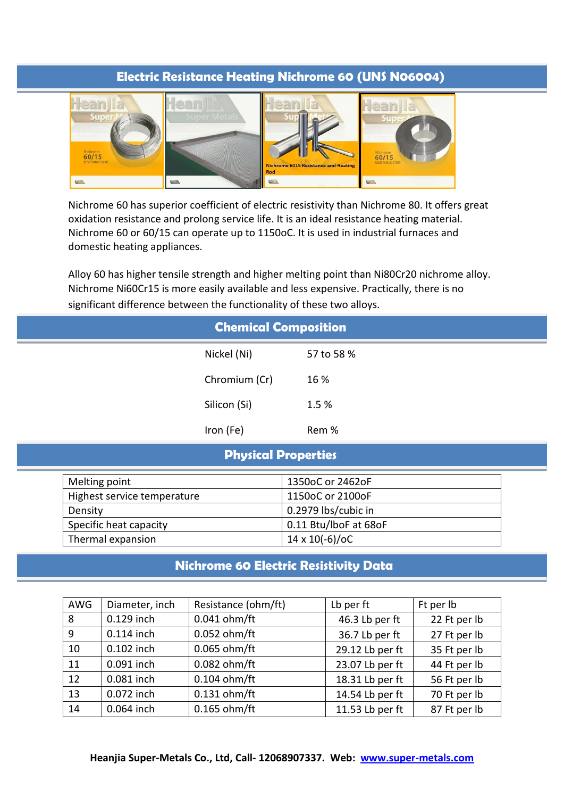## **Electric Resistance Heating Nichrome 60 (UNS N06004)**



Nichrome 60 has superior coefficient of electric resistivity than Nichrome 80. It offers great oxidation resistance and prolong service life. It is an ideal resistance heating material. Nichrome 60 or 60/15 can operate up to 1150oC. It is used in industrial furnaces and domestic heating appliances.

Alloy 60 has higher tensile strength and higher melting point than Ni80Cr20 nichrome alloy. Nichrome Ni60Cr15 is more easily available and less expensive. Practically, there is no significant difference between the functionality of these two alloys.

| <b>Chemical Composition</b> |                             |                            |                       |  |  |  |  |
|-----------------------------|-----------------------------|----------------------------|-----------------------|--|--|--|--|
|                             |                             | Nickel (Ni)                | 57 to 58 %            |  |  |  |  |
|                             |                             | Chromium (Cr)              | 16 %                  |  |  |  |  |
|                             |                             | Silicon (Si)               | 1.5 %                 |  |  |  |  |
|                             |                             | Iron (Fe)                  | Rem %                 |  |  |  |  |
|                             |                             | <b>Physical Properties</b> |                       |  |  |  |  |
|                             | Melting point               |                            | 1350oC or 2462oF      |  |  |  |  |
|                             | Highest service temperature |                            | 1150oC or 2100oF      |  |  |  |  |
|                             | Density                     |                            | 0.2979 lbs/cubic in   |  |  |  |  |
|                             | Specific heat capacity      |                            | 0.11 Btu/lboF at 68oF |  |  |  |  |
|                             | Thermal expansion           |                            | $14 \times 10(-6)/0C$ |  |  |  |  |

## **Nichrome 60 Electric Resistivity Data**

| AWG | Diameter, inch | Resistance (ohm/ft) | Lb per ft       | Ft per lb    |  |
|-----|----------------|---------------------|-----------------|--------------|--|
| 8   | 0.129 inch     | $0.041$ ohm/ft      | 46.3 Lb per ft  | 22 Ft per lb |  |
| 9   | $0.114$ inch   | 0.052 ohm/ft        | 36.7 Lb per ft  | 27 Ft per lb |  |
| 10  | 0.102 inch     | 0.065 ohm/ft        | 29.12 Lb per ft | 35 Ft per lb |  |
| 11  | 0.091 inch     | 0.082 ohm/ft        | 23.07 Lb per ft | 44 Ft per lb |  |
| 12  | 0.081 inch     | $0.104$ ohm/ft      | 18.31 Lb per ft | 56 Ft per lb |  |
| 13  | 0.072 inch     | $0.131$ ohm/ft      | 14.54 Lb per ft | 70 Ft per lb |  |
| 14  | 0.064 inch     | $0.165$ ohm/ft      | 11.53 Lb per ft | 87 Ft per lb |  |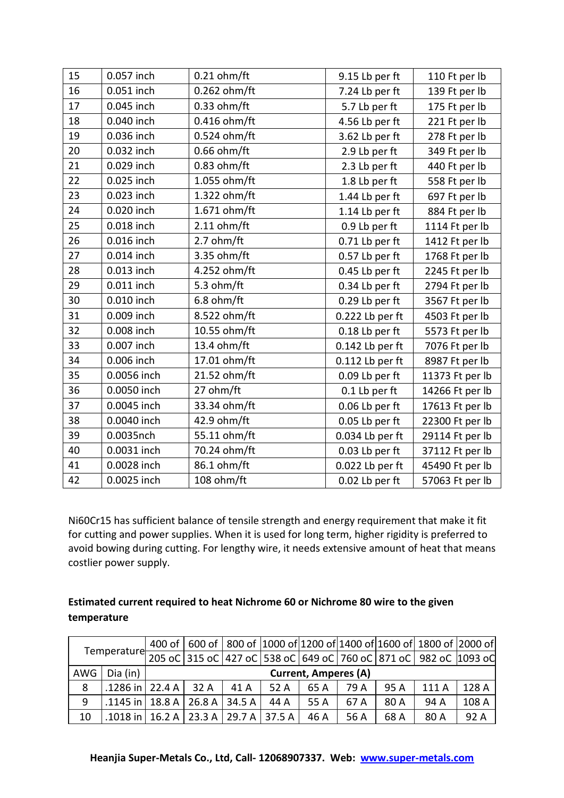| 15 | 0.057 inch  | $0.21$ ohm/ft  | 9.15 Lb per ft    | 110 Ft per lb   |
|----|-------------|----------------|-------------------|-----------------|
| 16 | 0.051 inch  | 0.262 ohm/ft   | 7.24 Lb per ft    | 139 Ft per lb   |
| 17 | 0.045 inch  | $0.33$ ohm/ft  | 5.7 Lb per ft     | 175 Ft per lb   |
| 18 | 0.040 inch  | 0.416 ohm/ft   | 4.56 Lb per ft    | 221 Ft per lb   |
| 19 | 0.036 inch  | $0.524$ ohm/ft | 3.62 Lb per ft    | 278 Ft per lb   |
| 20 | 0.032 inch  | $0.66$ ohm/ft  | 2.9 Lb per ft     | 349 Ft per lb   |
| 21 | 0.029 inch  | $0.83$ ohm/ft  | 2.3 Lb per ft     | 440 Ft per lb   |
| 22 | 0.025 inch  | 1.055 ohm/ft   | 1.8 Lb per ft     | 558 Ft per lb   |
| 23 | 0.023 inch  | 1.322 ohm/ft   | 1.44 Lb per ft    | 697 Ft per lb   |
| 24 | 0.020 inch  | 1.671 ohm/ft   | 1.14 Lb per ft    | 884 Ft per lb   |
| 25 | 0.018 inch  | $2.11$ ohm/ft  | 0.9 Lb per ft     | 1114 Ft per lb  |
| 26 | 0.016 inch  | 2.7 ohm/ft     | 0.71 Lb per ft    | 1412 Ft per lb  |
| 27 | 0.014 inch  | 3.35 ohm/ft    | 0.57 Lb per ft    | 1768 Ft per lb  |
| 28 | 0.013 inch  | 4.252 ohm/ft   | 0.45 Lb per ft    | 2245 Ft per lb  |
| 29 | 0.011 inch  | 5.3 ohm/ft     | 0.34 Lb per ft    | 2794 Ft per lb  |
| 30 | 0.010 inch  | $6.8$ ohm/ft   | 0.29 Lb per ft    | 3567 Ft per lb  |
| 31 | 0.009 inch  | 8.522 ohm/ft   | 0.222 Lb per ft   | 4503 Ft per lb  |
| 32 | 0.008 inch  | 10.55 ohm/ft   | 0.18 Lb per ft    | 5573 Ft per lb  |
| 33 | 0.007 inch  | 13.4 ohm/ft    | 0.142 Lb per ft   | 7076 Ft per lb  |
| 34 | 0.006 inch  | 17.01 ohm/ft   | $0.112$ Lb per ft | 8987 Ft per lb  |
| 35 | 0.0056 inch | 21.52 ohm/ft   | 0.09 Lb per ft    | 11373 Ft per lb |
| 36 | 0.0050 inch | 27 ohm/ft      | 0.1 Lb per ft     | 14266 Ft per lb |
| 37 | 0.0045 inch | 33.34 ohm/ft   | 0.06 Lb per ft    | 17613 Ft per lb |
| 38 | 0.0040 inch | 42.9 ohm/ft    | 0.05 Lb per ft    | 22300 Ft per lb |
| 39 | 0.0035nch   | 55.11 ohm/ft   | 0.034 Lb per ft   | 29114 Ft per lb |
| 40 | 0.0031 inch | 70.24 ohm/ft   | 0.03 Lb per ft    | 37112 Ft per lb |
| 41 | 0.0028 inch | 86.1 ohm/ft    | 0.022 Lb per ft   | 45490 Ft per lb |
| 42 | 0.0025 inch | 108 ohm/ft     | 0.02 Lb per ft    | 57063 Ft per lb |

Ni60Cr15 has sufficient balance of tensile strength and energy requirement that make it fit for cutting and power supplies. When it is used for long term, higher rigidity is preferred to avoid bowing during cutting. For lengthy wire, it needs extensive amount of heat that means costlier power supply.

## **Estimated current required to heat Nichrome 60 or Nichrome 80 wire to the given temperature**

|     |                                              |                                                                                                            |      |      |      |      |      | 400 of 600 of 800 of 1000 of 1200 of 1400 of 1600 of 1800 of 2000 of |       |  |
|-----|----------------------------------------------|------------------------------------------------------------------------------------------------------------|------|------|------|------|------|----------------------------------------------------------------------|-------|--|
|     |                                              |                                                                                                            |      |      |      |      |      |                                                                      |       |  |
| AWG | Dia (in)                                     | Temperature 205 oC 315 oC 427 oC 538 oC 649 oC 760 oC 871 oC 982 oC 1093 oC<br><b>Current, Amperes (A)</b> |      |      |      |      |      |                                                                      |       |  |
| 8   | .1286 in $ 22.4 A $                          | 32 A                                                                                                       | 41 A | 52A  | 65 A | 79 A | 95 A | 111 A                                                                | 128 A |  |
| 9   | .1145 in   18.8 A   26.8 A   34.5 A          |                                                                                                            |      | 44 A | 55 A | 67 A | 80 A | 94 A                                                                 | 108 A |  |
| 10  | .1018 in   16.2 A   23.3 A   29.7 A   37.5 A |                                                                                                            |      |      | 46 A | 56 A | 68 A | 80 A                                                                 | 92 A  |  |